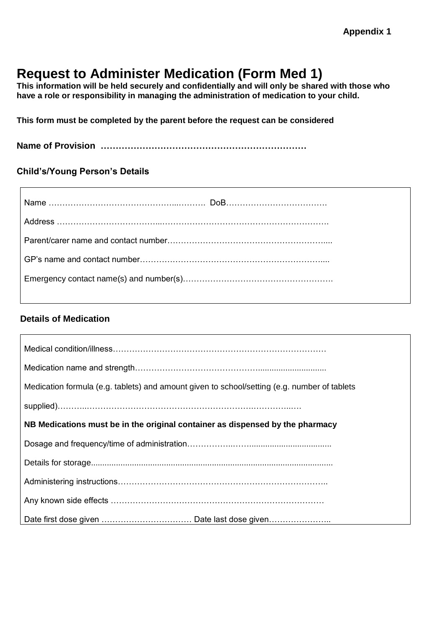# **Request to Administer Medication (Form Med 1)**

**This information will be held securely and confidentially and will only be shared with those who have a role or responsibility in managing the administration of medication to your child.** 

**This form must be completed by the parent before the request can be considered**

**Name of Provision ……………………………………………………………**

#### **Child's/Young Person's Details**

#### **Details of Medication**

| Medication formula (e.g. tablets) and amount given to school/setting (e.g. number of tablets |
|----------------------------------------------------------------------------------------------|
|                                                                                              |
| NB Medications must be in the original container as dispensed by the pharmacy                |
|                                                                                              |
|                                                                                              |
|                                                                                              |
|                                                                                              |
|                                                                                              |